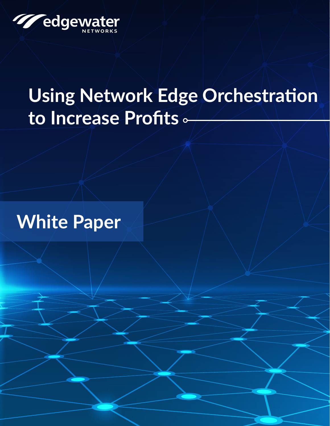

# **Using Network Edge Orchestration** to Increase Profits .

# **White Paper**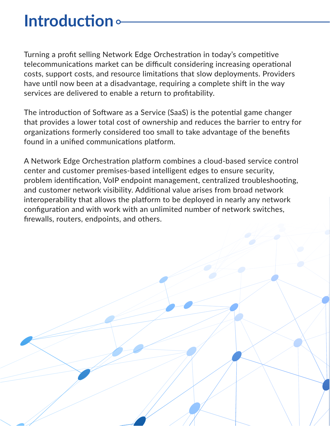### **Introduction**

Turning a profit selling Network Edge Orchestration in today's competitive telecommunications market can be difficult considering increasing operational costs, support costs, and resource limitations that slow deployments. Providers have until now been at a disadvantage, requiring a complete shift in the way services are delivered to enable a return to profitability.

The introduction of Software as a Service (SaaS) is the potential game changer that provides a lower total cost of ownership and reduces the barrier to entry for organizations formerly considered too small to take advantage of the benefits found in a unified communications platform.

A Network Edge Orchestration platform combines a cloud-based service control center and customer premises-based intelligent edges to ensure security, problem identification, VoIP endpoint management, centralized troubleshooting, and customer network visibility. Additional value arises from broad network interoperability that allows the platform to be deployed in nearly any network configuration and with work with an unlimited number of network switches, firewalls, routers, endpoints, and others.

**2** Paper White White White White White White White White White White White White White White White White White W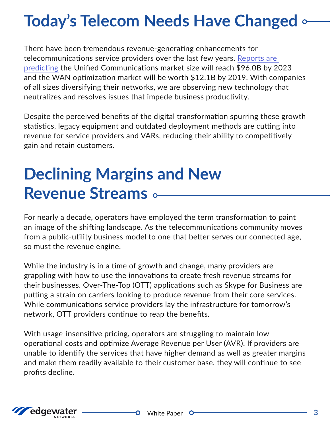# **Today's Telecom Needs Have Changed og**

There have been tremendous revenue-generating enhancements for telecommunications service providers over the last few years. Reports are predicting the Unified Communications market size will reach \$96.0B by 2023 and the WAN optimization market will be worth \$12.1B by 2019. With companies of all sizes diversifying their networks, we are observing new technology that neutralizes and resolves issues that impede business productivity.

Despite the perceived benefits of the digital transformation spurring these growth statistics, legacy equipment and outdated deployment methods are cutting into revenue for service providers and VARs, reducing their ability to competitively gain and retain customers.

### **Declining Margins and New Revenue Streams •**

For nearly a decade, operators have employed the term transformation to paint an image of the shifting landscape. As the telecommunications community moves from a public-utility business model to one that better serves our connected age, so must the revenue engine.

While the industry is in a time of growth and change, many providers are grappling with how to use the innovations to create fresh revenue streams for their businesses. Over-The-Top (OTT) applications such as Skype for Business are putting a strain on carriers looking to produce revenue from their core services. While communications service providers lay the infrastructure for tomorrow's network, OTT providers continue to reap the benefits.

With usage-insensitive pricing, operators are struggling to maintain low operational costs and optimize Average Revenue per User (AVR). If providers are unable to identify the services that have higher demand as well as greater margins and make them readily available to their customer base, they will continue to see profits decline.

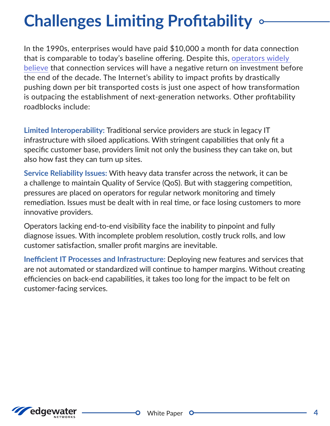# **Challenges Limiting Profitability**  $\circ$

In the 1990s, enterprises would have paid  $$10,000$  a month for data connection that is comparable to today's baseline offering. Despite this, operators widely believe that connection services will have a negative return on investment before the end of the decade. The Internet's ability to impact profits by drastically pushing down per bit transported costs is just one aspect of how transformation is outpacing the establishment of next-generation networks. Other profitability roadblocks include:

Limited Interoperability: Traditional service providers are stuck in legacy IT infrastructure with siloed applications. With stringent capabilities that only fit a specific customer base, providers limit not only the business they can take on, but also how fast they can turn up sites.

**Service Reliability Issues: With heavy data transfer across the network, it can be** a challenge to maintain Quality of Service (QoS). But with staggering competition, pressures are placed on operators for regular network monitoring and timely remediation. Issues must be dealt with in real time, or face losing customers to more innovative providers.

Operators lacking end-to-end visibility face the inability to pinpoint and fully diagnose issues. With incomplete problem resolution, costly truck rolls, and low customer satisfaction, smaller profit margins are inevitable.

Inefficient IT Processes and Infrastructure: Deploying new features and services that are not automated or standardized will continue to hamper margins. Without creating efficiencies on back-end capabilities, it takes too long for the impact to be felt on customer-facing services.



 $\bullet$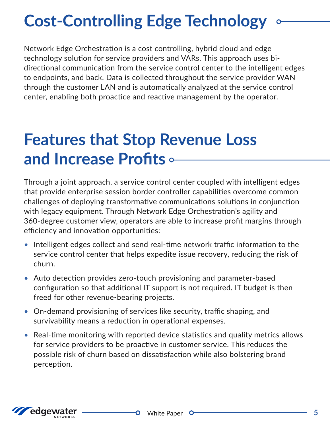# **Cost-Controlling Edge Technology**

Network Edge Orchestration is a cost controlling, hybrid cloud and edge directional communication from the service control center to the intelligent edges technology solution for service providers and VARs. This approach uses bito endpoints, and back. Data is collected throughout the service provider WAN through the customer LAN and is automatically analyzed at the service control center, enabling both proactice and reactive management by the operator.

#### **Features that Stop Revenue Loss and Increase Profits •-**

Through a joint approach, a service control center coupled with intelligent edges that provide enterprise session border controller capabilities overcome common challenges of deploying transformative communications solutions in conjunction with legacy equipment. Through Network Edge Orchestration's agility and 360-degree customer view, operators are able to increase profit margins through efficiency and innovation opportunities:

- Intelligent edges collect and send real-time network traffic information to the service control center that helps expedite issue recovery, reducing the risk of .churn
- Auto detection provides zero-touch provisioning and parameter-based configuration so that additional IT support is not required. IT budget is then freed for other revenue-bearing projects.
- On-demand provisioning of services like security, traffic shaping, and survivability means a reduction in operational expenses.
- Real-time monitoring with reported device statistics and quality metrics allows for service providers to be proactive in customer service. This reduces the possible risk of churn based on dissatisfaction while also bolstering brand .perception

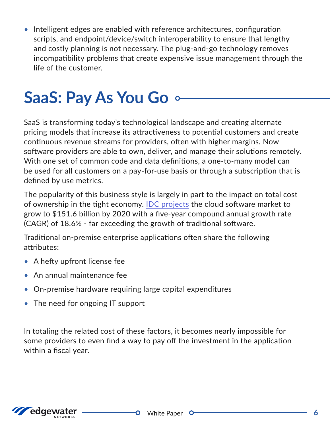Intelligent edges are enabled with reference architectures, configuration scripts, and endpoint/device/switch interoperability to ensure that lengthy and costly planning is not necessary. The plug-and-go technology removes incompatibility problems that create expensive issue management through the life of the customer.

# **SaaS: Pay As You Go**  $\circ$

SaaS is transforming today's technological landscape and creating alternate pricing models that increase its attractiveness to potential customers and create continuous revenue streams for providers, often with higher margins. Now software providers are able to own, deliver, and manage their solutions remotely. With one set of common code and data definitions, a one-to-many model can be used for all customers on a pay-for-use basis or through a subscription that is defined by use metrics.

The popularity of this business style is largely in part to the impact on total cost of ownership in the tight economy. IDC projects the cloud software market to grow to \$151.6 billion by 2020 with a five-year compound annual growth rate  $(CAGR)$  of 18.6% - far exceeding the growth of traditional software.

Traditional on-premise enterprise applications often share the following :attributes

- A hefty upfront license fee
- An annual maintenance fee
- On-premise hardware requiring large capital expenditures
- The need for ongoing  $\mathsf I$  support

In totaling the related cost of these factors, it becomes nearly impossible for some providers to even find a way to pay off the investment in the application within a fiscal year.

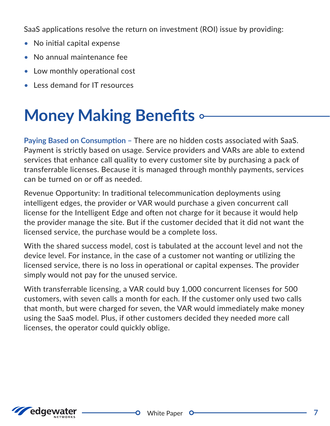SaaS applications resolve the return on investment (ROI) issue by providing:

- No initial capital expense
- No annual maintenance fee
- Low monthly operational cost
- Less demand for IT resources

### **Money Making Benefits of**

Paying Based on Consumption - There are no hidden costs associated with SaaS. Payment is strictly based on usage. Service providers and VARs are able to extend services that enhance call quality to every customer site by purchasing a pack of transferrable licenses. Because it is managed through monthly payments, services can be turned on or off as needed.

Revenue Opportunity: In traditional telecommunication deployments using intelligent edges, the provider or VAR would purchase a given concurrent call license for the Intelligent Edge and often not charge for it because it would help the provider manage the site. But if the customer decided that it did not want the licensed service, the purchase would be a complete loss.

With the shared success model, cost is tabulated at the account level and not the device level. For instance, in the case of a customer not wanting or utilizing the licensed service, there is no loss in operational or capital expenses. The provider simply would not pay for the unused service.

With transferrable licensing, a VAR could buy 1,000 concurrent licenses for 500 customers, with seven calls a month for each. If the customer only used two calls that month, but were charged for seven, the VAR would immediately make money using the SaaS model. Plus, if other customers decided they needed more call licenses, the operator could quickly oblige.



 $\bullet$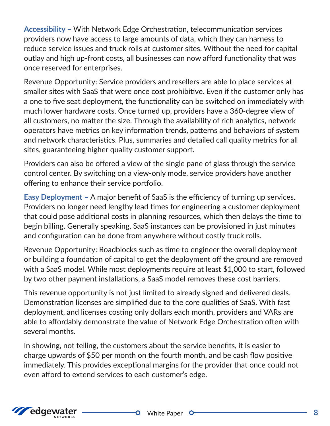Accessibility - With Network Edge Orchestration, telecommunication services providers now have access to large amounts of data, which they can harness to reduce service issues and truck rolls at customer sites. Without the need for capital outlay and high up-front costs, all businesses can now afford functionality that was once reserved for enterprises.

Revenue Opportunity: Service providers and resellers are able to place services at smaller sites with SaaS that were once cost prohibitive. Even if the customer only has a one to five seat deployment, the functionality can be switched on immediately with much lower hardware costs. Once turned up, providers have a 360-degree view of all customers, no matter the size. Through the availability of rich analytics, network operators have metrics on key information trends, patterns and behaviors of system and network characteristics. Plus, summaries and detailed call quality metrics for all sites, guaranteeing higher quality customer support.

Providers can also be offered a view of the single pane of glass through the service control center. By switching on a view-only mode, service providers have another offering to enhance their service portfolio.

Easy Deployment - A major benefit of SaaS is the efficiency of turning up services. Providers no longer need lengthy lead times for engineering a customer deployment that could pose additional costs in planning resources, which then delays the time to begin billing. Generally speaking, SaaS instances can be provisioned in just minutes and configuration can be done from anywhere without costly truck rolls.

Revenue Opportunity: Roadblocks such as time to engineer the overall deployment or building a foundation of capital to get the deployment off the ground are removed with a SaaS model. While most deployments require at least \$1,000 to start, followed by two other payment installations, a SaaS model removes these cost barriers.

This revenue opportunity is not just limited to already signed and delivered deals. Demonstration licenses are simplified due to the core qualities of SaaS. With fast deployment, and licenses costing only dollars each month, providers and VARs are able to affordably demonstrate the value of Network Edge Orchestration often with several months.

In showing, not telling, the customers about the service benefits, it is easier to charge upwards of \$50 per month on the fourth month, and be cash flow positive immediately. This provides exceptional margins for the provider that once could not even afford to extend services to each customer's edge.



 $\bullet$